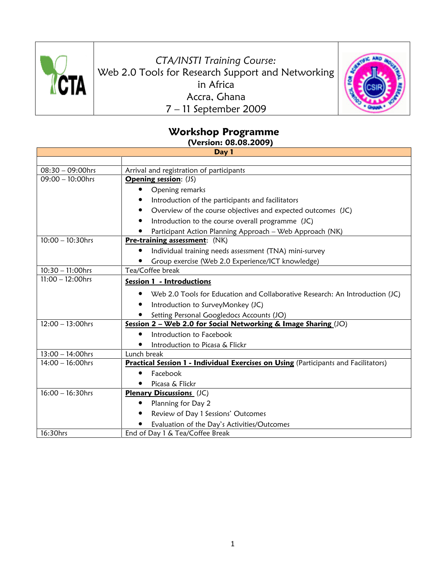

CTA/INSTI Training Course: Web 2.0 Tools for Research Support and Networking in Africa Accra, Ghana 7 – 11 September 2009



## Workshop Programme

(Version: 08.08.2009)

| Day 1               |                                                                                     |  |
|---------------------|-------------------------------------------------------------------------------------|--|
|                     |                                                                                     |  |
| $08:30 - 09:00$ hrs | Arrival and registration of participants                                            |  |
| $09:00 - 10:00$ hrs | <b>Opening session: (JS)</b>                                                        |  |
|                     | Opening remarks                                                                     |  |
|                     | Introduction of the participants and facilitators                                   |  |
|                     | Overview of the course objectives and expected outcomes (JC)                        |  |
|                     | Introduction to the course overall programme (JC)                                   |  |
|                     | Participant Action Planning Approach - Web Approach (NK)                            |  |
| $10:00 - 10:30$ hrs | <b>Pre-training assessment:</b> (NK)                                                |  |
|                     | Individual training needs assessment (TNA) mini-survey                              |  |
|                     | Group exercise (Web 2.0 Experience/ICT knowledge)                                   |  |
| $10:30 - 11:00$ hrs | Tea/Coffee break                                                                    |  |
| $11:00 - 12:00$ hrs | Session 1 - Introductions                                                           |  |
|                     | Web 2.0 Tools for Education and Collaborative Research: An Introduction (JC)        |  |
|                     | Introduction to SurveyMonkey (JC)                                                   |  |
|                     | Setting Personal Googledocs Accounts (JO)                                           |  |
| $12:00 - 13:00$ hrs | Session 2 - Web 2.0 for Social Networking & Image Sharing (JO)                      |  |
|                     | Introduction to Facebook                                                            |  |
|                     | Introduction to Picasa & Flickr                                                     |  |
| $13:00 - 14:00$ hrs | Lunch break                                                                         |  |
| $14:00 - 16:00$ hrs | Practical Session 1 - Individual Exercises on Using (Participants and Facilitators) |  |
|                     | Facebook                                                                            |  |
|                     | Picasa & Flickr                                                                     |  |
| $16:00 - 16:30$ hrs | <b>Plenary Discussions</b> (JC)                                                     |  |
|                     | Planning for Day 2                                                                  |  |
|                     | Review of Day 1 Sessions' Outcomes                                                  |  |
|                     | Evaluation of the Day's Activities/Outcomes                                         |  |
| 16:30hrs            | End of Day 1 & Tea/Coffee Break                                                     |  |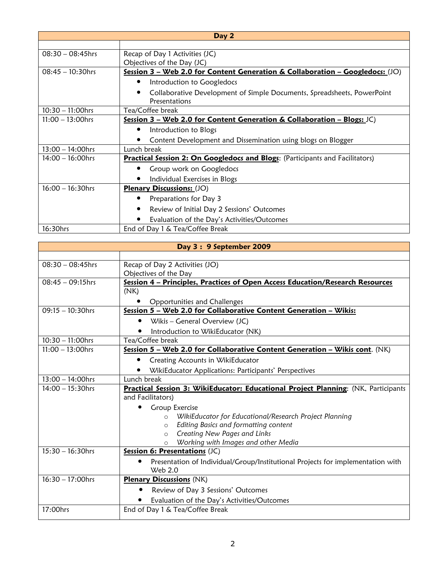| Day 2               |                                                                                      |
|---------------------|--------------------------------------------------------------------------------------|
|                     |                                                                                      |
| $08:30 - 08:45$ hrs | Recap of Day 1 Activities (JC)                                                       |
|                     | Objectives of the Day (JC)                                                           |
| $08:45 - 10:30$ hrs | Session 3 - Web 2.0 for Content Generation & Collaboration - Googledocs: (JO)        |
|                     | Introduction to Googledocs                                                           |
|                     | Collaborative Development of Simple Documents, Spreadsheets, PowerPoint              |
|                     | Presentations                                                                        |
| $10:30 - 11:00$ hrs | Tea/Coffee break                                                                     |
| $11:00 - 13:00$ hrs | Session 3 - Web 2.0 for Content Generation & Collaboration - Blogs: $JC$ )           |
|                     | Introduction to Blogs                                                                |
|                     | Content Development and Dissemination using blogs on Blogger                         |
| $13:00 - 14:00$ hrs | Lunch break                                                                          |
| $14:00 - 16:00$ hrs | <b>Practical Session 2: On Googledocs and Blogs:</b> (Participants and Facilitators) |
|                     | Group work on Googledocs                                                             |
|                     | Individual Exercises in Blogs                                                        |
| $16:00 - 16:30$ hrs | <b>Plenary Discussions: (JO)</b>                                                     |
|                     | Preparations for Day 3                                                               |
|                     | Review of Initial Day 2 Sessions' Outcomes                                           |
|                     | Evaluation of the Day's Activities/Outcomes                                          |
| 16:30hrs            | End of Day 1 & Tea/Coffee Break                                                      |

| Day 3: 9 September 2009 |                                                                                    |  |
|-------------------------|------------------------------------------------------------------------------------|--|
|                         |                                                                                    |  |
| $08:30 - 08:45$ hrs     | Recap of Day 2 Activities (JO)                                                     |  |
|                         | Objectives of the Day                                                              |  |
| $08:45 - 09:15$ hrs     | Session 4 - Principles, Practices of Open Access Education/Research Resources      |  |
|                         | (NK)                                                                               |  |
|                         | Opportunities and Challenges                                                       |  |
| $09:15 - 10:30$ hrs     | Session 5 - Web 2.0 for Collaborative Content Generation - Wikis:                  |  |
|                         | Wikis - General Overview (JC)                                                      |  |
|                         | Introduction to WikiEducator (NK)                                                  |  |
| $10:30 - 11:00$ hrs     | Tea/Coffee break                                                                   |  |
| $11:00 - 13:00$ hrs     | Session 5 - Web 2.0 for Collaborative Content Generation - Wikis cont. (NK)        |  |
|                         | Creating Accounts in WikiEducator<br>٠                                             |  |
|                         | WikiEducator Applications: Participants' Perspectives                              |  |
| $13:00 - 14:00$ hrs     | Lunch break                                                                        |  |
| $14:00 - 15:30$ hrs     | Practical Session 3: WikiEducator: Educational Project Planning: (NK, Participants |  |
|                         | and Facilitators)                                                                  |  |
|                         | Group Exercise                                                                     |  |
|                         | o WikiEducator for Educational/Research Project Planning                           |  |
|                         | Editing Basics and formatting content<br>$\circ$                                   |  |
|                         | Creating New Pages and Links<br>$\circ$                                            |  |
|                         | Working with Images and other Media<br>$\Omega$                                    |  |
| $15:30 - 16:30$ hrs     | Session 6: Presentations (JC)                                                      |  |
|                         | Presentation of Individual/Group/Institutional Projects for implementation with    |  |
| $16:30 - 17:00$ hrs     | Web 2.0<br><b>Plenary Discussions (NK)</b>                                         |  |
|                         |                                                                                    |  |
|                         | Review of Day 3 Sessions' Outcomes<br>٠                                            |  |
|                         | Evaluation of the Day's Activities/Outcomes                                        |  |
| 17:00hrs                | End of Day 1 & Tea/Coffee Break                                                    |  |